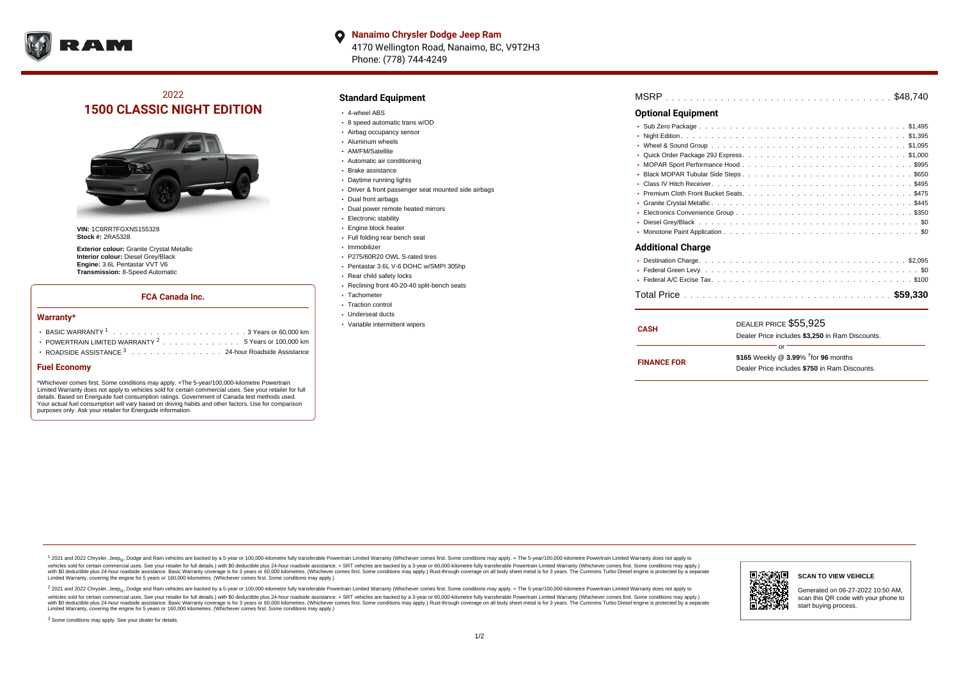

**Nanaimo Chrysler Dodge Jeep Ram**  $\bullet$ 4170 Wellington Road, Nanaimo, BC, V9T2H3 Phone: (778) 744-4249

# 2022 **1500 CLASSIC NIGHT EDITION**



**VIN:** 1C6RR7FGXNS155328 **Stock #:** 2RA5328

**Exterior colour:** Granite Crystal Metallic **Interior colour:** Diesel Grey/Black **Engine:** 3.6L Pentastar VVT V6 **Transmission:** 8-Speed Automatic

#### **FCA Canada Inc.**

#### **Warranty\***

| • POWERTRAIN LIMITED WARRANTY $2 \ldots \ldots \ldots \ldots \ldots 5$ Years or 100,000 km |
|--------------------------------------------------------------------------------------------|
| • ROADSIDE ASSISTANCE 3 24-hour Roadside Assistance                                        |

#### **Fuel Economy**

\*Whichever comes first. Some conditions may apply. +The 5-year/100,000-kilometre Powertrain Limited Warranty does not apply to vehicles sold for certain commercial uses. See your retailer for full details. Based on Energuide fuel consumption ratings. Government of Canada test methods used. Your actual fuel consumption will vary based on driving habits and other factors. Use for comparison purposes only. Ask your retailer for Energuide information.

### **Standard Equipment**

- 4-wheel ABS
- 8 speed automatic trans w/OD
- Airbag occupancy sensor
- Aluminum wheels • AM/FM/Satellite
- Automatic air conditioning
- Brake assistance
- Daytime running lights
- Driver & front passenger seat mounted side airbags
- Dual front airbags
- Dual power remote heated mirrors
- Electronic stability
- Engine block heater
- Full folding rear bench seat
- Immobilizer
- P275/60R20 OWL S-rated tires
- Pentastar 3.6L V-6 DOHC w/SMPI 305hp
- Rear child safety locks
- Reclining front 40-20-40 split-bench seats
- Tachometer
- Traction control Underseat ducts
- 
- Variable intermittent wipers

| <b>MSRP</b> |  |  |  |  |  |  |  |  |  |  |  |  |  |  |  |  |  |  |  |  |  |  |  |  |  |  |  |  |  |  |  |  |  |  |  |  |  |  |  |  |  |  |  |
|-------------|--|--|--|--|--|--|--|--|--|--|--|--|--|--|--|--|--|--|--|--|--|--|--|--|--|--|--|--|--|--|--|--|--|--|--|--|--|--|--|--|--|--|--|
|-------------|--|--|--|--|--|--|--|--|--|--|--|--|--|--|--|--|--|--|--|--|--|--|--|--|--|--|--|--|--|--|--|--|--|--|--|--|--|--|--|--|--|--|--|

### **Optional Equipment**

| <b>Additional Charge</b> |
|--------------------------|
|                          |
|                          |
|                          |
|                          |

| <b>CASH</b>        | DEALER PRICE \$55,925                              |  |
|--------------------|----------------------------------------------------|--|
|                    | Dealer Price includes \$3.250 in Ram Discounts.    |  |
|                    | Ωr                                                 |  |
| <b>FINANCE FOR</b> | \$165 Weekly @ $3.99\%$ <sup>†</sup> for 96 months |  |
|                    | Dealer Price includes \$750 in Ram Discounts.      |  |
|                    |                                                    |  |

<sup>1</sup> 2021 and 2022 Chrysler, Jeep<sub>®</sub>, Dodge and Ram vehicles are backed by a 5-year or 100,000-kilometre fully transferable Powertrain Limited Warranty (Whichever comes first. Some conditions may apply. + The 5-year/100,000 vehicles sold for certain commercial uses. See your retailer for full details.) with \$0 deductible plus 24-hour roadside assistance. + SRT vehicles are backed by a 3-year or 60,000-kilometre fully transferable Powertrain L versus and contract the mean of the contract of the contract with a contract with a contract the contract of the contract of the contract the contract of the contract of the contract of the contract of the contract of the Limited Warranty, covering the engine for 5 years or 160,000 kilometres. (Whichever comes first. Some conditions may apply.)

2 2021 and 2022 Chrysler, Jeep<sub>®</sub>, Dodge and Ram vehicles are backed by a 5-year or 100,000-kilometre fully transferable Powertrain Limited Warranty (Whichever comes first. Some conditions may apply. + The 5-year/100,000-k vehicles sold for certain commercial uses. See your retailer for full details.) with SO deductible plus 24-hour roadside assistance. + SRT vehicles are backed by a 3-year or 60.000-kilometre fully transferable Powertrain. with S0 deductible plus 24-hour roadside assistance. Basic Warranty coverage is for 3 years or 60,000 kilometres. (Whichever comes first. Some conditions may apply.) Rust-through coverage on all body sheet metal is for 3 y

<sup>3</sup> Some conditions may apply. See your dealer for details.



# **SCAN TO VIEW VEHICLE**

Generated on 06-27-2022 10:50 AM, scan this QR code with your phone to start buying process.